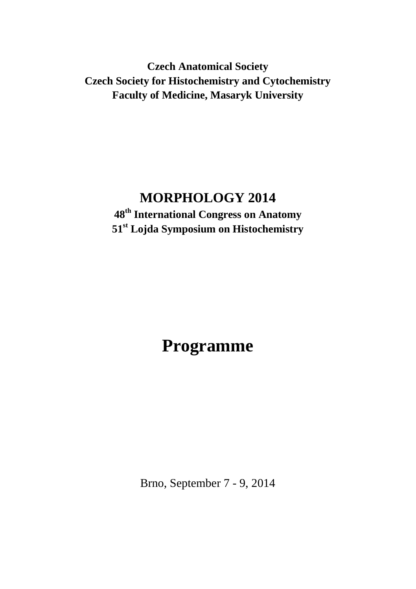**Czech Anatomical Society Czech Society for Histochemistry and Cytochemistry Faculty of Medicine, Masaryk University**

# **MORPHOLOGY 2014**

**48th International Congress on Anatomy 51st Lojda Symposium on Histochemistry**

# **Programme**

Brno, September 7 - 9, 2014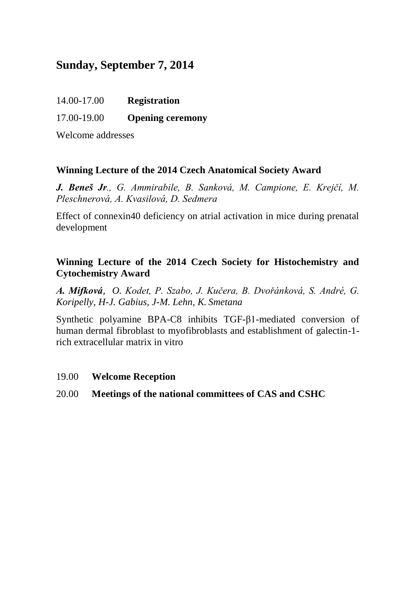# **Sunday, September 7, 2014**

#### 17.00-19.00 **Opening ceremony**

Welcome addresses

#### **Winning Lecture of the 2014 Czech Anatomical Society Award**

*J. Beneš Jr., G. Ammirabile, B. Sanková, M. Campione, E. Krejčí, M. Pleschnerová, A. Kvasilová, D. Sedmera*

Effect of connexin40 deficiency on atrial activation in mice during prenatal development

#### **Winning Lecture of the 2014 Czech Society for Histochemistry and Cytochemistry Award**

*A. Mifková, O. Kodet, P. Szabo, J. Kučera, B. Dvořánková, S. André, G. Koripelly, H-J. Gabius, J-M. Lehn, K. Smetana*

Synthetic polyamine BPA-C8 inhibits TGF-β1-mediated conversion of human dermal fibroblast to myofibroblasts and establishment of galectin-1 rich extracellular matrix in vitro

#### 19.00 **Welcome Reception**

20.00 **Meetings of the national committees of CAS and CSHC**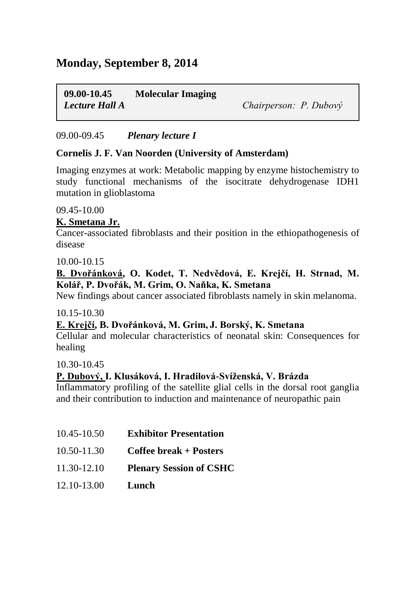# **Monday, September 8, 2014**

**09.00-10.45 Molecular Imaging** *Lecture Hall A Chairperson: P. Dubový*

#### 09.00-09.45 *Plenary lecture I*

#### **Cornelis J. F. Van Noorden (University of Amsterdam)**

Imaging enzymes at work: Metabolic mapping by enzyme histochemistry to study functional mechanisms of the isocitrate dehydrogenase IDH1 mutation in glioblastoma

09.45-10.00

#### **K. Smetana Jr.**

Cancer-associated fibroblasts and their position in the ethiopathogenesis of disease

10.00-10.15

#### **B. Dvořánková, O. Kodet, T. Nedvědová, E. Krejčí, H. Strnad, M. Kolář, P. Dvořák, M. Grim, O. Naňka, K. Smetana**

New findings about cancer associated fibroblasts namely in skin melanoma.

#### 10.15-10.30

#### **E. Krejčí, B. Dvořánková, M. Grim, J. Borský, K. Smetana**

Cellular and molecular characteristics of neonatal skin: Consequences for healing

10.30-10.45

#### **P. Dubový, I. Klusáková, I. Hradilová-Svíženská, V. Brázda**

Inflammatory profiling of the satellite glial cells in the dorsal root ganglia and their contribution to induction and maintenance of neuropathic pain

- 10.45-10.50 **Exhibitor Presentation**
- 10.50-11.30 **Coffee break + Posters**
- 11.30-12.10 **Plenary Session of CSHC**
- 12.10-13.00 **Lunch**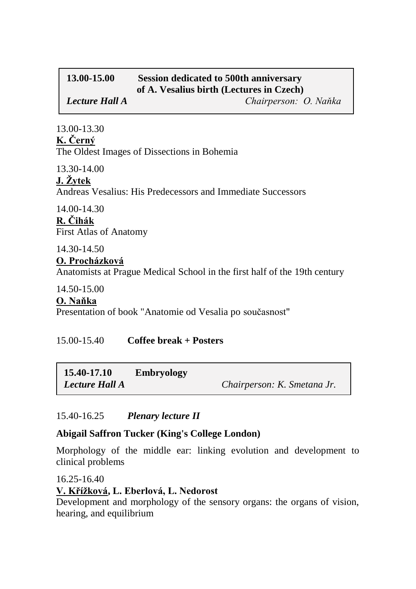# **13.00-15.00 Session dedicated to 500th anniversary of A. Vesalius birth (Lectures in Czech)** *Lecture Hall A Chairperson: O. Naňka*

13.00-13.30 **K. Černý**  The Oldest Images of Dissections in Bohemia

13.30-14.00

# **J. Žytek**

Andreas Vesalius: His Predecessors and Immediate Successors

14.00-14.30 **R. Čihák**  First Atlas of Anatomy

14.30-14.50

### **O. Procházková**

Anatomists at Prague Medical School in the first half of the 19th century

#### 14.50-15.00

#### **O. Naňka**

Presentation of book "Anatomie od Vesalia po současnost"

# 15.00-15.40 **Coffee break + Posters**

| 15.40-17.10           | <b>Embryology</b> |                             |
|-----------------------|-------------------|-----------------------------|
| <b>Lecture Hall A</b> |                   | Chairperson: K. Smetana Jr. |

# 15.40-16.25 *Plenary lecture II*

# **Abigail Saffron Tucker (King's College London)**

Morphology of the middle ear: linking evolution and development to clinical problems

16.25-16.40

# **V. Křížková, L. Eberlová, L. Nedorost**

Development and morphology of the sensory organs: the organs of vision, hearing, and equilibrium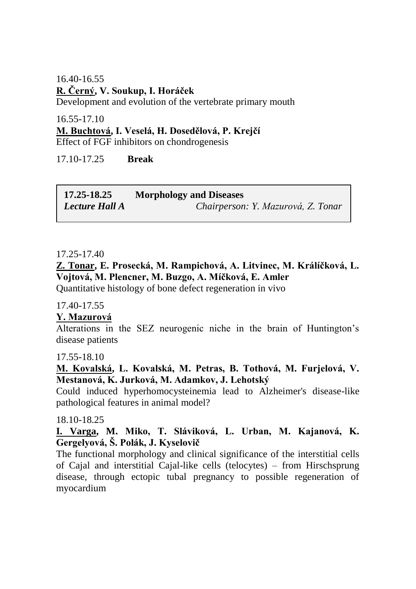16.40-16.55 **R. Černý, V. Soukup, I. Horáček** Development and evolution of the vertebrate primary mouth

16.55-17.10

### **M. Buchtová, I. Veselá, H. Dosedělová, P. Krejčí**

Effect of FGF inhibitors on chondrogenesis

17.10-17.25 **Break**

| 17.25-18.25           | <b>Morphology and Diseases</b>     |  |
|-----------------------|------------------------------------|--|
| <b>Lecture Hall A</b> | Chairperson: Y. Mazurová, Z. Tonar |  |

#### 17.25-17.40

**Z. Tonar, E. Prosecká, M. Rampichová, A. Litvinec, M. Králíčková, L. Vojtová, M. Plencner, M. Buzgo, A. Míčková, E. Amler**

Quantitative histology of bone defect regeneration in vivo

17.40-17.55

#### **Y. Mazurová**

Alterations in the SEZ neurogenic niche in the brain of Huntington's disease patients

17.55-18.10

**M. Kovalská, L. Kovalská, M. Petras, B. Tothová, M. Furjelová, V. Mestanová, K. Jurková, M. Adamkov, J. Lehotský**

Could induced hyperhomocysteinemia lead to Alzheimer's disease-like pathological features in animal model?

18.10-18.25

#### **I. Varga, M. Miko, T. Sláviková, L. Urban, M. Kajanová, K. Gergelyová, Š. Polák, J. Kyselovič**

The functional morphology and clinical significance of the interstitial cells of Cajal and interstitial Cajal-like cells (telocytes) – from Hirschsprung disease, through ectopic tubal pregnancy to possible regeneration of myocardium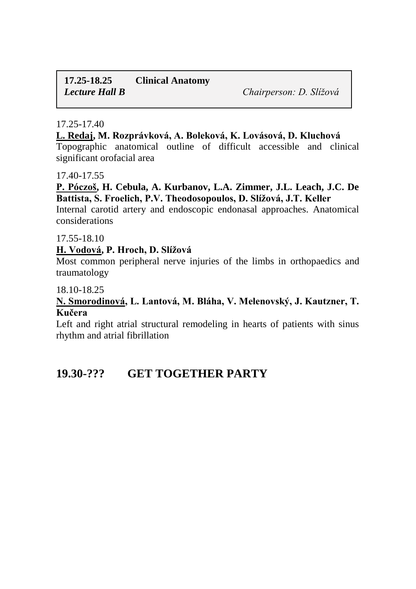# **17.25-18.25 Clinical Anatomy** *Lecture Hall B Chairperson: D. Slížová*

#### 17.25-17.40

#### **L. Redaj, M. Rozprávková, A. Boleková, K. Lovásová, D. Kluchová**

Topographic anatomical outline of difficult accessible and clinical significant orofacial area

#### 17.40-17.55

#### **P. Póczoš, H. Cebula, A. Kurbanov, L.A. Zimmer, J.L. Leach, J.C. De Battista, S. Froelich, P.V. Theodosopoulos, D. Slížová, J.T. Keller**

Internal carotid artery and endoscopic endonasal approaches. Anatomical considerations

#### 17.55-18.10

#### **H. Vodová, P. Hroch, D. Slížová**

Most common peripheral nerve injuries of the limbs in orthopaedics and traumatology

#### 18.10-18.25

#### **N. Smorodinová, L. Lantová, M. Bláha, V. Melenovský, J. Kautzner, T. Kučera**

Left and right atrial structural remodeling in hearts of patients with sinus rhythm and atrial fibrillation

# **19.30-??? GET TOGETHER PARTY**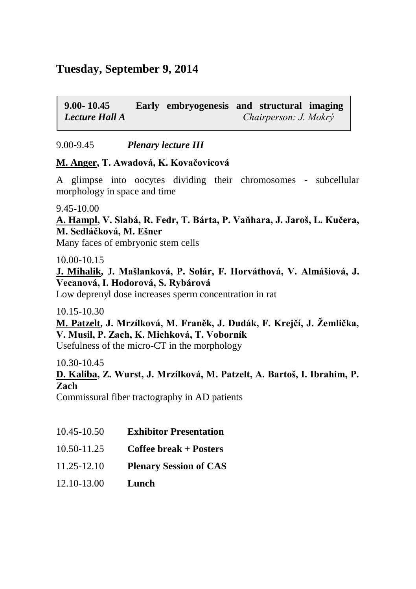# **Tuesday, September 9, 2014**

**9.00- 10.45 Early embryogenesis and structural imaging**  *Lecture Hall A Chairperson: J. Mokrý*

9.00-9.45 *Plenary lecture III*

#### **M. Anger, T. Awadová, K. Kovačovicová**

A glimpse into oocytes dividing their chromosomes - subcellular morphology in space and time

9.45-10.00

**A. Hampl, V. Slabá, R. Fedr, T. Bárta, P. Vaňhara, J. Jaroš, L. Kučera, M. Sedláčková, M. Ešner**

Many faces of embryonic stem cells

10.00-10.15

**J. Mihalik, J. Mašlanková, P. Solár, F. Horváthová, V. Almášiová, J. Vecanová, I. Hodorová, S. Rybárová**

Low deprenyl dose increases sperm concentration in rat

10.15-10.30

**M. Patzelt, J. Mrzílková, M. Franěk, J. Dudák, F. Krejčí, J. Žemlička, V. Musil, P. Zach, K. Michková, T. Voborník** 

Usefulness of the micro-CT in the morphology

10.30-10.45

**D. Kaliba, Z. Wurst, J. Mrzílková, M. Patzelt, A. Bartoš, I. Ibrahim, P. Zach**

Commissural fiber tractography in AD patients

- 10.45-10.50 **Exhibitor Presentation**
- 10.50-11.25 **Coffee break + Posters**
- 11.25-12.10 **Plenary Session of CAS**
- 12.10-13.00 **Lunch**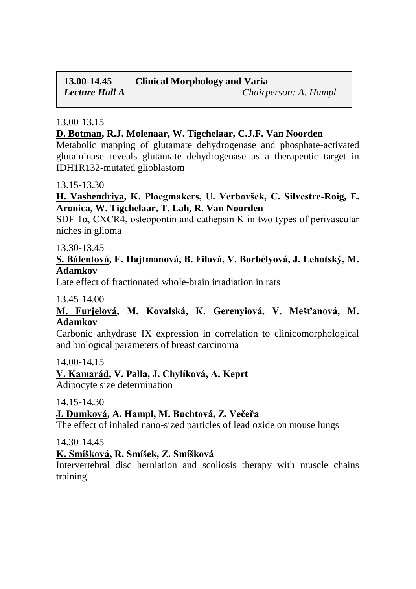# **13.00-14.45 Clinical Morphology and Varia** *Lecture Hall A Chairperson: A. Hampl*

#### 13.00-13.15

#### **D. Botman, R.J. Molenaar, W. Tigchelaar, C.J.F. Van Noorden**

Metabolic mapping of glutamate dehydrogenase and phosphate-activated glutaminase reveals glutamate dehydrogenase as a therapeutic target in IDH1R132-mutated glioblastom

#### 13.15-13.30

#### **H. Vashendriya, K. Ploegmakers, U. Verbovšek, C. Silvestre-Roig, E. Aronica, W. Tigchelaar, T. Lah, R. Van Noorden**

SDF-1α, CXCR4, osteopontin and cathepsin K in two types of perivascular niches in glioma

#### 13.30-13.45

#### **S. Bálentová, E. Hajtmanová, B. Filová, V. Borbélyová, J. Lehotský, M. Adamkov**

Late effect of fractionated whole-brain irradiation in rats

#### 13.45-14.00

#### **M. Furjelová, M. Kovalská, K. Gerenyiová, V. Mešťanová, M. Adamkov**

Carbonic anhydrase IX expression in correlation to clinicomorphological and biological parameters of breast carcinoma

#### 14.00-14.15

#### **V. Kamarád, V. Palla, J. Chylíková, A. Keprt**

Adipocyte size determination

#### 14.15-14.30

#### **J. Dumková, A. Hampl, M. Buchtová, Z. Večeřa**

The effect of inhaled nano-sized particles of lead oxide on mouse lungs

#### 14.30-14.45

#### **K. Smíšková, R. Smíšek, Z. Smíšková**

Intervertebral disc herniation and scoliosis therapy with muscle chains training